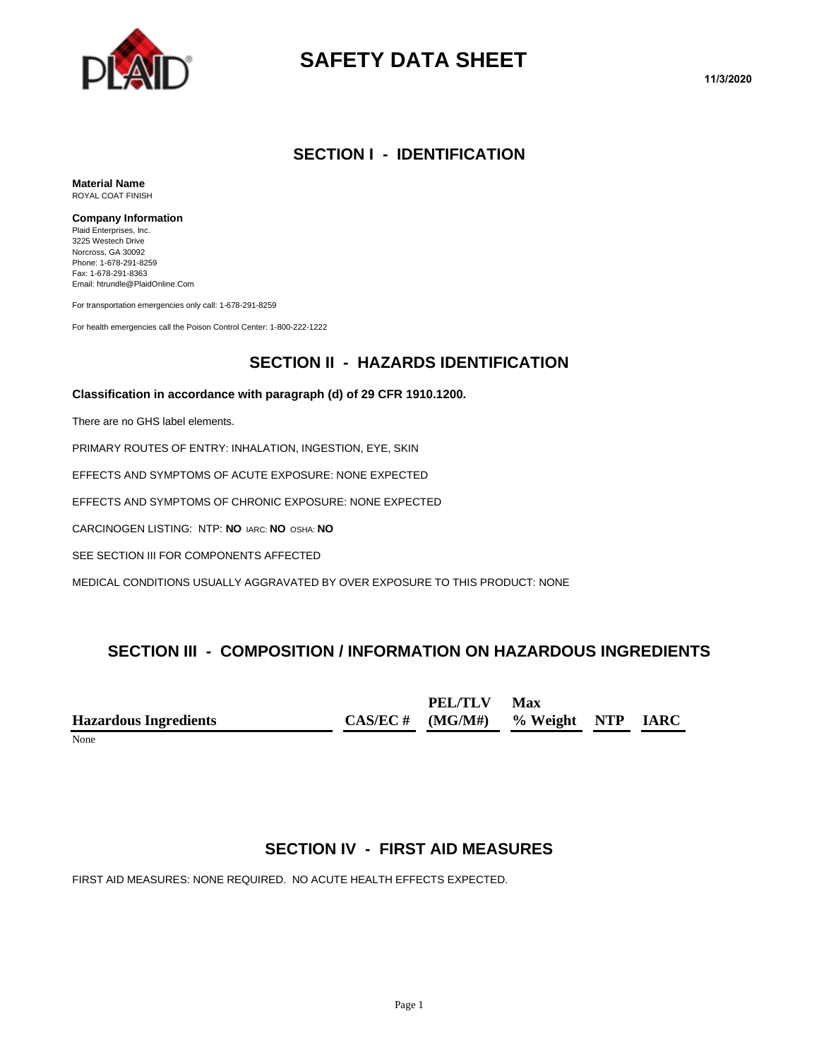

# **SAFETY DATA SHEET**

#### **SECTION I - IDENTIFICATION**

**Material Name** ROYAL COAT FINISH

#### **Company Information**

Plaid Enterprises, Inc. 3225 Westech Drive Norcross, GA 30092 Phone: 1-678-291-8259 Fax: 1-678-291-8363 Email: htrundle@PlaidOnline.Com

For transportation emergencies only call: 1-678-291-8259

For health emergencies call the Poison Control Center: 1-800-222-1222

#### **SECTION II - HAZARDS IDENTIFICATION**

#### **Classification in accordance with paragraph (d) of 29 CFR 1910.1200.**

There are no GHS label elements.

PRIMARY ROUTES OF ENTRY: INHALATION, INGESTION, EYE, SKIN

EFFECTS AND SYMPTOMS OF ACUTE EXPOSURE: NONE EXPECTED

EFFECTS AND SYMPTOMS OF CHRONIC EXPOSURE: NONE EXPECTED

CARCINOGEN LISTING: NTP: **NO** IARC: **NO** OSHA: **NO**

SEE SECTION III FOR COMPONENTS AFFECTED

MEDICAL CONDITIONS USUALLY AGGRAVATED BY OVER EXPOSURE TO THIS PRODUCT: NONE

#### **SECTION III - COMPOSITION / INFORMATION ON HAZARDOUS INGREDIENTS**

|                              | PEL/TLV Max                            |  |  |
|------------------------------|----------------------------------------|--|--|
| <b>Hazardous Ingredients</b> | $CAS/EC \# (MG/M\#)$ % Weight NTP IARC |  |  |
| $\sim$ $\sim$                |                                        |  |  |

None

## **SECTION IV - FIRST AID MEASURES**

FIRST AID MEASURES: NONE REQUIRED. NO ACUTE HEALTH EFFECTS EXPECTED.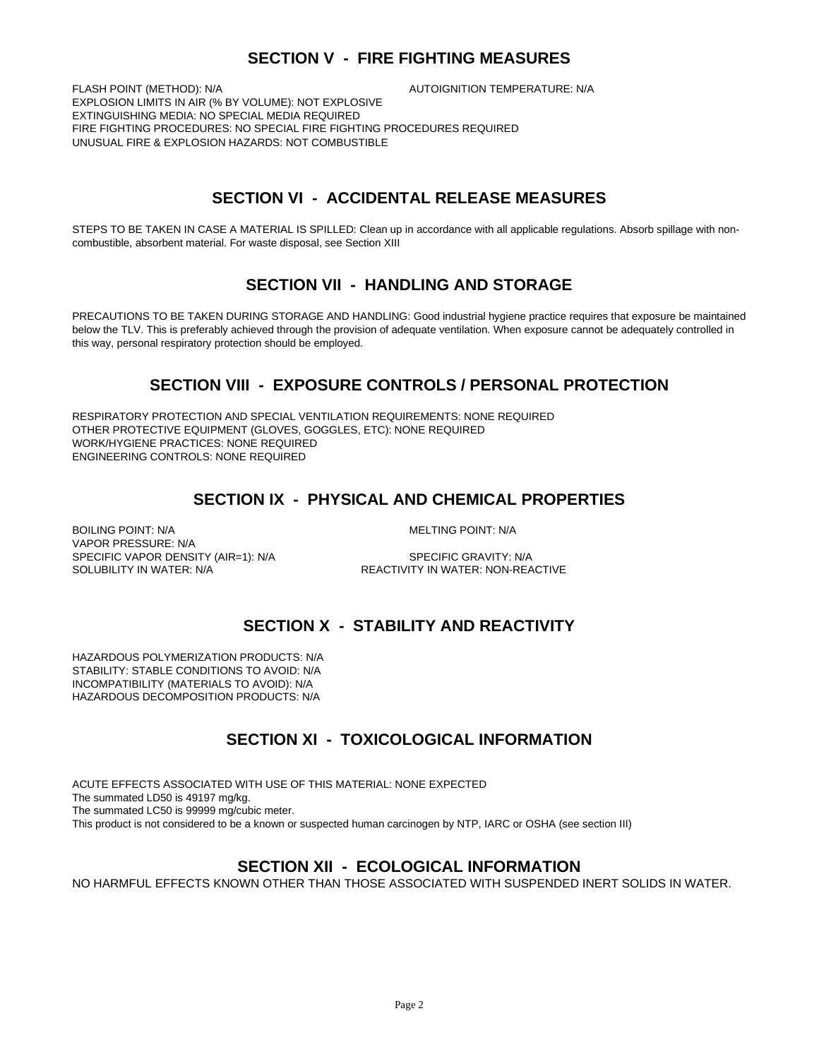#### **SECTION V - FIRE FIGHTING MEASURES**

FLASH POINT (METHOD): N/A **AUTOIGNITION TEMPERATURE: N/A** EXPLOSION LIMITS IN AIR (% BY VOLUME): NOT EXPLOSIVE EXTINGUISHING MEDIA: NO SPECIAL MEDIA REQUIRED FIRE FIGHTING PROCEDURES: NO SPECIAL FIRE FIGHTING PROCEDURES REQUIRED UNUSUAL FIRE & EXPLOSION HAZARDS: NOT COMBUSTIBLE

## **SECTION VI - ACCIDENTAL RELEASE MEASURES**

STEPS TO BE TAKEN IN CASE A MATERIAL IS SPILLED: Clean up in accordance with all applicable regulations. Absorb spillage with noncombustible, absorbent material. For waste disposal, see Section XIII

#### **SECTION VII - HANDLING AND STORAGE**

PRECAUTIONS TO BE TAKEN DURING STORAGE AND HANDLING: Good industrial hygiene practice requires that exposure be maintained below the TLV. This is preferably achieved through the provision of adequate ventilation. When exposure cannot be adequately controlled in this way, personal respiratory protection should be employed.

#### **SECTION VIII - EXPOSURE CONTROLS / PERSONAL PROTECTION**

RESPIRATORY PROTECTION AND SPECIAL VENTILATION REQUIREMENTS: NONE REQUIRED OTHER PROTECTIVE EQUIPMENT (GLOVES, GOGGLES, ETC): NONE REQUIRED WORK/HYGIENE PRACTICES: NONE REQUIRED ENGINEERING CONTROLS: NONE REQUIRED

#### **SECTION IX - PHYSICAL AND CHEMICAL PROPERTIES**

BOILING POINT: N/A **MELTING POINT: N/A** VAPOR PRESSURE: N/A SPECIFIC VAPOR DENSITY (AIR=1): N/A SPECIFIC GRAVITY: N/A SOLUBILITY IN WATER: N/A **REACTIVITY IN WATER: NON-REACTIVE** 

## **SECTION X - STABILITY AND REACTIVITY**

HAZARDOUS POLYMERIZATION PRODUCTS: N/A STABILITY: STABLE CONDITIONS TO AVOID: N/A INCOMPATIBILITY (MATERIALS TO AVOID): N/A HAZARDOUS DECOMPOSITION PRODUCTS: N/A

## **SECTION XI - TOXICOLOGICAL INFORMATION**

ACUTE EFFECTS ASSOCIATED WITH USE OF THIS MATERIAL: NONE EXPECTED The summated LD50 is 49197 mg/kg. The summated LC50 is 99999 mg/cubic meter. This product is not considered to be a known or suspected human carcinogen by NTP, IARC or OSHA (see section III)

#### **SECTION XII - ECOLOGICAL INFORMATION**

NO HARMFUL EFFECTS KNOWN OTHER THAN THOSE ASSOCIATED WITH SUSPENDED INERT SOLIDS IN WATER.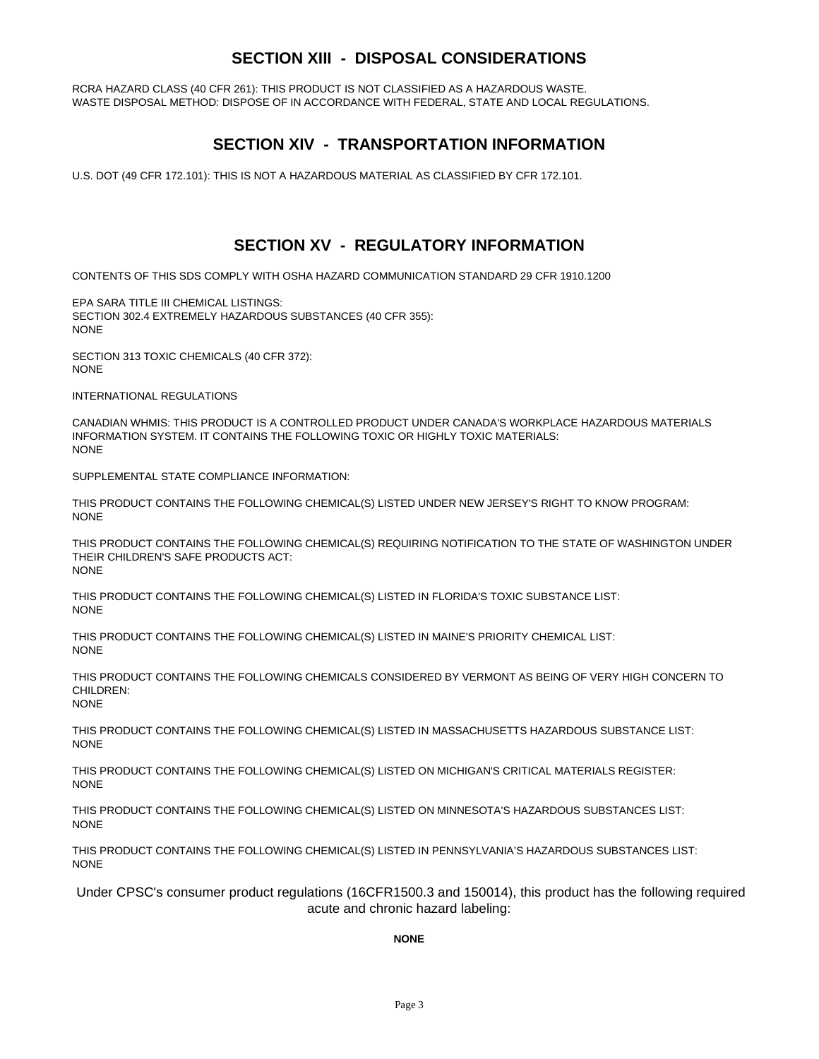#### **SECTION XIII - DISPOSAL CONSIDERATIONS**

RCRA HAZARD CLASS (40 CFR 261): THIS PRODUCT IS NOT CLASSIFIED AS A HAZARDOUS WASTE. WASTE DISPOSAL METHOD: DISPOSE OF IN ACCORDANCE WITH FEDERAL, STATE AND LOCAL REGULATIONS.

#### **SECTION XIV - TRANSPORTATION INFORMATION**

U.S. DOT (49 CFR 172.101): THIS IS NOT A HAZARDOUS MATERIAL AS CLASSIFIED BY CFR 172.101.

#### **SECTION XV - REGULATORY INFORMATION**

CONTENTS OF THIS SDS COMPLY WITH OSHA HAZARD COMMUNICATION STANDARD 29 CFR 1910.1200

EPA SARA TITLE III CHEMICAL LISTINGS: SECTION 302.4 EXTREMELY HAZARDOUS SUBSTANCES (40 CFR 355): NONE

SECTION 313 TOXIC CHEMICALS (40 CFR 372): NONE

INTERNATIONAL REGULATIONS

CANADIAN WHMIS: THIS PRODUCT IS A CONTROLLED PRODUCT UNDER CANADA'S WORKPLACE HAZARDOUS MATERIALS INFORMATION SYSTEM. IT CONTAINS THE FOLLOWING TOXIC OR HIGHLY TOXIC MATERIALS: NONE

SUPPLEMENTAL STATE COMPLIANCE INFORMATION:

THIS PRODUCT CONTAINS THE FOLLOWING CHEMICAL(S) LISTED UNDER NEW JERSEY'S RIGHT TO KNOW PROGRAM: NONE

THIS PRODUCT CONTAINS THE FOLLOWING CHEMICAL(S) REQUIRING NOTIFICATION TO THE STATE OF WASHINGTON UNDER THEIR CHILDREN'S SAFE PRODUCTS ACT: NONE

THIS PRODUCT CONTAINS THE FOLLOWING CHEMICAL(S) LISTED IN FLORIDA'S TOXIC SUBSTANCE LIST: **NONE** 

THIS PRODUCT CONTAINS THE FOLLOWING CHEMICAL(S) LISTED IN MAINE'S PRIORITY CHEMICAL LIST: **NONE** 

THIS PRODUCT CONTAINS THE FOLLOWING CHEMICALS CONSIDERED BY VERMONT AS BEING OF VERY HIGH CONCERN TO CHILDREN: **NONE** 

THIS PRODUCT CONTAINS THE FOLLOWING CHEMICAL(S) LISTED IN MASSACHUSETTS HAZARDOUS SUBSTANCE LIST: NONE

THIS PRODUCT CONTAINS THE FOLLOWING CHEMICAL(S) LISTED ON MICHIGAN'S CRITICAL MATERIALS REGISTER: **NONE** 

THIS PRODUCT CONTAINS THE FOLLOWING CHEMICAL(S) LISTED ON MINNESOTA'S HAZARDOUS SUBSTANCES LIST: NONE

THIS PRODUCT CONTAINS THE FOLLOWING CHEMICAL(S) LISTED IN PENNSYLVANIA'S HAZARDOUS SUBSTANCES LIST: NONE

Under CPSC's consumer product regulations (16CFR1500.3 and 150014), this product has the following required acute and chronic hazard labeling:

#### **NONE**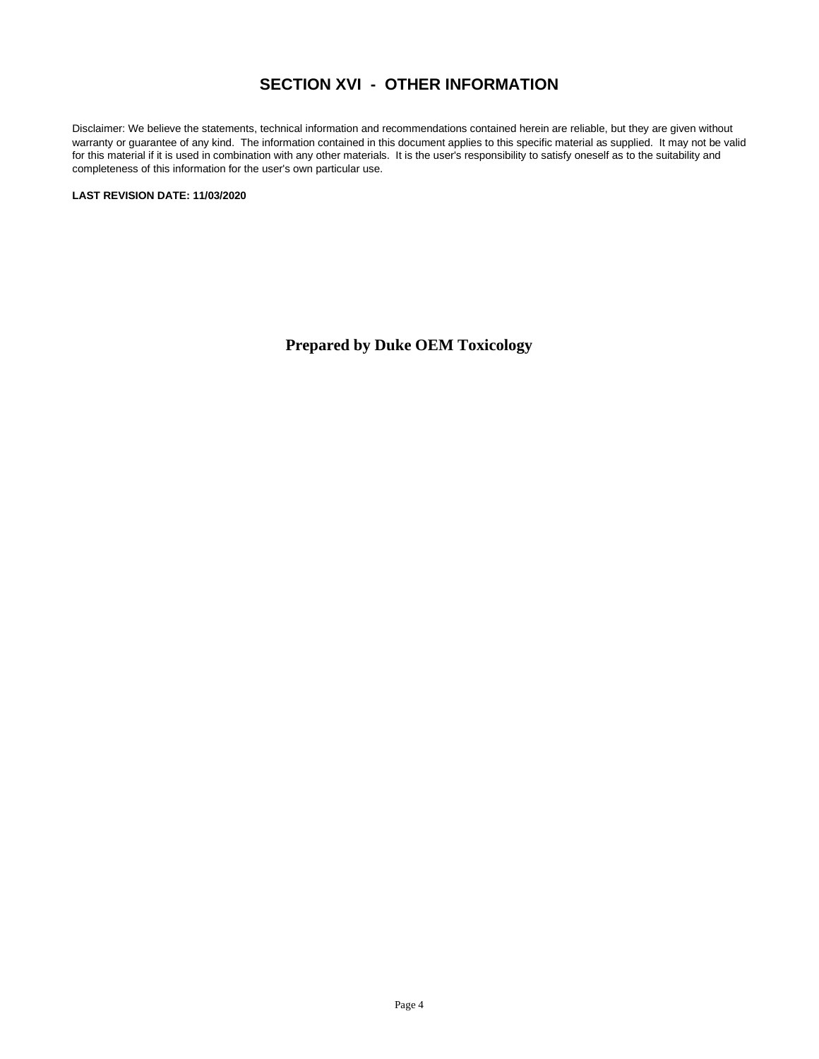#### **SECTION XVI - OTHER INFORMATION**

Disclaimer: We believe the statements, technical information and recommendations contained herein are reliable, but they are given without warranty or guarantee of any kind. The information contained in this document applies to this specific material as supplied. It may not be valid for this material if it is used in combination with any other materials. It is the user's responsibility to satisfy oneself as to the suitability and completeness of this information for the user's own particular use.

**LAST REVISION DATE: 11/03/2020**

**Prepared by Duke OEM Toxicology**